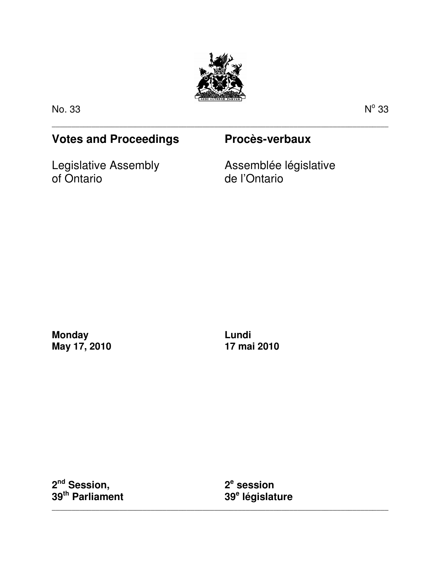

\_\_\_\_\_\_\_\_\_\_\_\_\_\_\_\_\_\_\_\_\_\_\_\_\_\_\_\_\_\_\_\_\_\_\_\_\_\_\_\_\_\_\_\_\_\_\_\_\_\_\_\_\_\_\_\_\_\_\_\_\_\_\_\_\_\_\_\_\_\_\_\_\_\_\_\_\_\_\_\_\_\_\_\_\_

No. 33 N

 $^{\circ}$  33

# **Votes and Proceedings Procès-verbaux**

Legislative Assembly of Ontario

Assemblée législative de l'Ontario

**Monday May 17, 2010**  **Lundi 17 mai 2010** 

**2 nd Session, 39th Parliament** 

**2 e session 39<sup>e</sup> législature** 

\_\_\_\_\_\_\_\_\_\_\_\_\_\_\_\_\_\_\_\_\_\_\_\_\_\_\_\_\_\_\_\_\_\_\_\_\_\_\_\_\_\_\_\_\_\_\_\_\_\_\_\_\_\_\_\_\_\_\_\_\_\_\_\_\_\_\_\_\_\_\_\_\_\_\_\_\_\_\_\_\_\_\_\_\_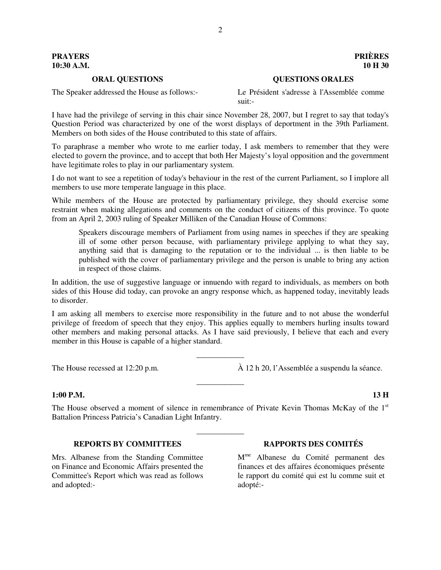# **PRAYERS PRIÈRES 10:30 A.M. 10 H 30**

# **ORAL QUESTIONS QUESTIONS ORALES**

The Speaker addressed the House as follows:- Le Président s'adresse à l'Assemblée comme

suit:-

I have had the privilege of serving in this chair since November 28, 2007, but I regret to say that today's Question Period was characterized by one of the worst displays of deportment in the 39th Parliament. Members on both sides of the House contributed to this state of affairs.

To paraphrase a member who wrote to me earlier today, I ask members to remember that they were elected to govern the province, and to accept that both Her Majesty's loyal opposition and the government have legitimate roles to play in our parliamentary system.

I do not want to see a repetition of today's behaviour in the rest of the current Parliament, so I implore all members to use more temperate language in this place.

While members of the House are protected by parliamentary privilege, they should exercise some restraint when making allegations and comments on the conduct of citizens of this province. To quote from an April 2, 2003 ruling of Speaker Milliken of the Canadian House of Commons:

Speakers discourage members of Parliament from using names in speeches if they are speaking ill of some other person because, with parliamentary privilege applying to what they say, anything said that is damaging to the reputation or to the individual ... is then liable to be published with the cover of parliamentary privilege and the person is unable to bring any action in respect of those claims.

In addition, the use of suggestive language or innuendo with regard to individuals, as members on both sides of this House did today, can provoke an angry response which, as happened today, inevitably leads to disorder.

I am asking all members to exercise more responsibility in the future and to not abuse the wonderful privilege of freedom of speech that they enjoy. This applies equally to members hurling insults toward other members and making personal attacks. As I have said previously, I believe that each and every member in this House is capable of a higher standard.

\_\_\_\_\_\_\_\_\_\_\_\_

\_\_\_\_\_\_\_\_\_\_\_\_

The House recessed at 12:20 p.m. À 12 h 20, l'Assemblée a suspendu la séance.

# **1:00 P.M. 13 H**

The House observed a moment of silence in remembrance of Private Kevin Thomas McKay of the  $1<sup>st</sup>$ Battalion Princess Patricia's Canadian Light Infantry.

\_\_\_\_\_\_\_\_\_\_\_\_

# **REPORTS BY COMMITTEES RAPPORTS DES COMITÉS**

Mrs. Albanese from the Standing Committee on Finance and Economic Affairs presented the Committee's Report which was read as follows and adopted:-

M me Albanese du Comité permanent des finances et des affaires économiques présente le rapport du comité qui est lu comme suit et adopté:-

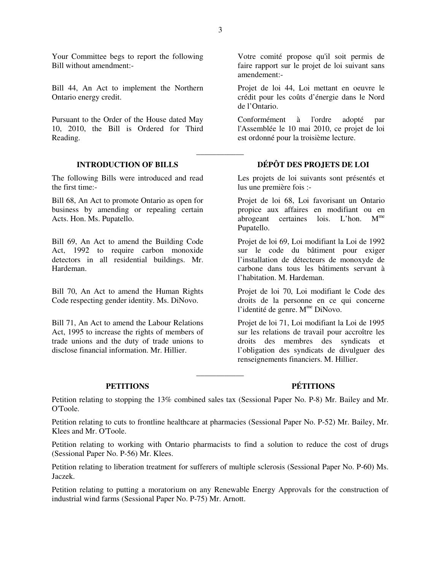Your Committee begs to report the following Bill without amendment:-

Bill 44, An Act to implement the Northern Ontario energy credit.

Pursuant to the Order of the House dated May 10, 2010, the Bill is Ordered for Third Reading.

The following Bills were introduced and read the first time:-

Bill 68, An Act to promote Ontario as open for business by amending or repealing certain Acts. Hon. Ms. Pupatello.

Bill 69, An Act to amend the Building Code Act, 1992 to require carbon monoxide detectors in all residential buildings. Mr. Hardeman.

Bill 70, An Act to amend the Human Rights Code respecting gender identity. Ms. DiNovo.

Bill 71, An Act to amend the Labour Relations Act, 1995 to increase the rights of members of trade unions and the duty of trade unions to disclose financial information. Mr. Hillier.

Votre comité propose qu'il soit permis de faire rapport sur le projet de loi suivant sans amendement:-

Projet de loi 44, Loi mettant en oeuvre le crédit pour les coûts d'énergie dans le Nord de l'Ontario.

Conformément à l'ordre adopté par l'Assemblée le 10 mai 2010, ce projet de loi est ordonné pour la troisième lecture.

# **INTRODUCTION OF BILLS DÉPÔT DES PROJETS DE LOI**

Les projets de loi suivants sont présentés et lus une première fois :-

Projet de loi 68, Loi favorisant un Ontario propice aux affaires en modifiant ou en abrogeant certaines lois. L'hon. Mme Pupatello.

Projet de loi 69, Loi modifiant la Loi de 1992 sur le code du bâtiment pour exiger l'installation de détecteurs de monoxyde de carbone dans tous les bâtiments servant à l'habitation. M. Hardeman.

Projet de loi 70, Loi modifiant le Code des droits de la personne en ce qui concerne l'identité de genre. M<sup>me</sup> DiNovo.

Projet de loi 71, Loi modifiant la Loi de 1995 sur les relations de travail pour accroître les droits des membres des syndicats et l'obligation des syndicats de divulguer des renseignements financiers. M. Hillier.

**PETITIONS PÉTITIONS** 

Petition relating to stopping the 13% combined sales tax (Sessional Paper No. P-8) Mr. Bailey and Mr. O'Toole.

\_\_\_\_\_\_\_\_\_\_\_\_

Petition relating to cuts to frontline healthcare at pharmacies (Sessional Paper No. P-52) Mr. Bailey, Mr. Klees and Mr. O'Toole.

Petition relating to working with Ontario pharmacists to find a solution to reduce the cost of drugs (Sessional Paper No. P-56) Mr. Klees.

Petition relating to liberation treatment for sufferers of multiple sclerosis (Sessional Paper No. P-60) Ms. Jaczek.

Petition relating to putting a moratorium on any Renewable Energy Approvals for the construction of industrial wind farms (Sessional Paper No. P-75) Mr. Arnott.

\_\_\_\_\_\_\_\_\_\_\_\_